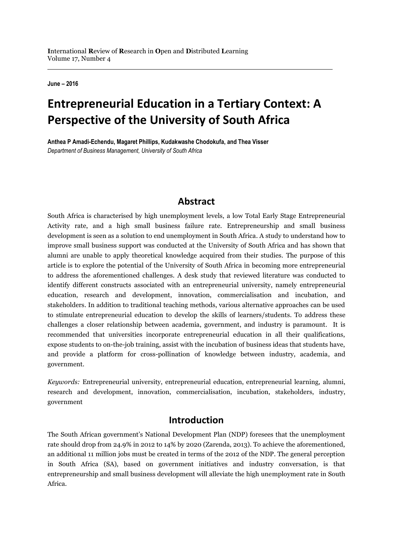**June – 2016**

# **Entrepreneurial Education in a Tertiary Context: A Perspective of the University of South Africa**

**Anthea P Amadi-Echendu, Magaret Phillips, Kudakwashe Chodokufa, and Thea Visser** *Department of Business Management, University of South Africa*

#### **Abstract**

South Africa is characterised by high unemployment levels, a low Total Early Stage Entrepreneurial Activity rate, and a high small business failure rate. Entrepreneurship and small business development is seen as a solution to end unemployment in South Africa. A study to understand how to improve small business support was conducted at the University of South Africa and has shown that alumni are unable to apply theoretical knowledge acquired from their studies. The purpose of this article is to explore the potential of the University of South Africa in becoming more entrepreneurial to address the aforementioned challenges. A desk study that reviewed literature was conducted to identify different constructs associated with an entrepreneurial university, namely entrepreneurial education, research and development, innovation, commercialisation and incubation, and stakeholders. In addition to traditional teaching methods, various alternative approaches can be used to stimulate entrepreneurial education to develop the skills of learners/students. To address these challenges a closer relationship between academia, government, and industry is paramount. It is recommended that universities incorporate entrepreneurial education in all their qualifications, expose students to on-the-job training, assist with the incubation of business ideas that students have, and provide a platform for cross-pollination of knowledge between industry, academia, and government.

*Keywords:* Entrepreneurial university, entrepreneurial education, entrepreneurial learning, alumni, research and development, innovation, commercialisation, incubation, stakeholders, industry, government

#### **Introduction**

The South African government's National Development Plan (NDP) foresees that the unemployment rate should drop from 24.9% in 2012 to 14% by 2020 (Zarenda, 2013). To achieve the aforementioned, an additional 11 million jobs must be created in terms of the 2012 of the NDP. The general perception in South Africa (SA), based on government initiatives and industry conversation, is that entrepreneurship and small business development will alleviate the high unemployment rate in South Africa.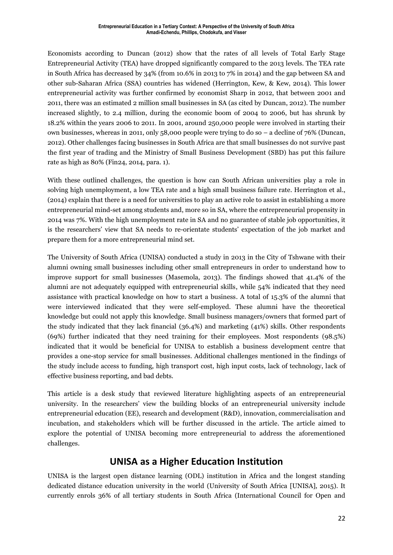Economists according to Duncan (2012) show that the rates of all levels of Total Early Stage Entrepreneurial Activity (TEA) have dropped significantly compared to the 2013 levels. The TEA rate in South Africa has decreased by 34% (from 10.6% in 2013 to 7% in 2014) and the gap between SA and other sub-Saharan Africa (SSA) countries has widened (Herrington, Kew, & Kew, 2014). This lower entrepreneurial activity was further confirmed by economist Sharp in 2012, that between 2001 and 2011, there was an estimated 2 million small businesses in SA (as cited by Duncan, 2012). The number increased slightly, to 2.4 million, during the economic boom of 2004 to 2006, but has shrunk by 18.2% within the years 2006 to 2011. In 2001, around 250,000 people were involved in starting their own businesses, whereas in 2011, only 58,000 people were trying to do so – a decline of 76% (Duncan, 2012). Other challenges facing businesses in South Africa are that small businesses do not survive past the first year of trading and the Ministry of Small Business Development (SBD) has put this failure rate as high as 80% [\(Fin2](http://www.fin24.com/Entrepreneurs/News/Zulu-Most-SMMEs-fail-20141028)4, 2014, para. 1).

With these outlined challenges, the question is how can South African universities play a role in solving high unemployment, a low TEA rate and a high small business failure rate. Herrington et al., (2014) explain that there is a need for universities to play an active role to assist in establishing a more entrepreneurial mind-set among students and, more so in SA, where the entrepreneurial propensity in 2014 was 7%. With the high unemployment rate in SA and no guarantee of stable job opportunities, it is the researchers' view that SA needs to re-orientate students' expectation of the job market and prepare them for a more entrepreneurial mind set.

The University of South Africa (UNISA) conducted a study in 2013 in the City of Tshwane with their alumni owning small businesses including other small entrepreneurs in order to understand how to improve support for small businesses (Masemola, 2013). The findings showed that 41.4% of the alumni are not adequately equipped with entrepreneurial skills, while 54% indicated that they need assistance with practical knowledge on how to start a business. A total of 15.3% of the alumni that were interviewed indicated that they were self-employed. These alumni have the theoretical knowledge but could not apply this knowledge. Small business managers/owners that formed part of the study indicated that they lack financial (36.4%) and marketing (41%) skills. Other respondents (69%) further indicated that they need training for their employees. Most respondents (98.5%) indicated that it would be beneficial for UNISA to establish a business development centre that provides a one-stop service for small businesses. Additional challenges mentioned in the findings of the study include access to funding, high transport cost, high input costs, lack of technology, lack of effective business reporting, and bad debts.

This article is a desk study that reviewed literature highlighting aspects of an entrepreneurial university. In the researchers' view the building blocks of an entrepreneurial university include entrepreneurial education (EE), research and development (R&D), innovation, commercialisation and incubation, and stakeholders which will be further discussed in the article. The article aimed to explore the potential of UNISA becoming more entrepreneurial to address the aforementioned challenges.

# **UNISA as a Higher Education Institution**

UNISA is the largest open distance learning (ODL) institution in Africa and the longest standing dedicated distance education university in the world (University of South Africa [UNISA], 2015). It currently enrols 36% of all tertiary students in South Africa (International Council for Open and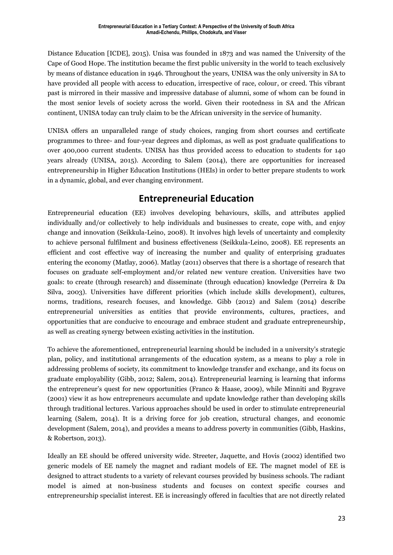Distance Education [ICDE], 2015). Unisa was founded in 1873 and was named the University of the Cape of Good Hope. The institution became the first public university in the world to teach exclusively by means of distance education in 1946. Throughout the years, UNISA was the only university in SA to have provided all people with access to education, irrespective of race, colour, or creed. This vibrant past is mirrored in their massive and impressive database of alumni, some of whom can be found in the most senior levels of society across the world. Given their rootedness in SA and the African continent, UNISA today can truly claim to be the African university in the service of humanity.

UNISA offers an unparalleled range of study choices, ranging from short courses and certificate programmes to three- and four-year degrees and diplomas, as well as post graduate qualifications to over 400,000 current students. UNISA has thus provided access to education to students for 140 years already (UNISA, 2015). According to Salem (2014), there are opportunities for increased entrepreneurship in Higher Education Institutions (HEIs) in order to better prepare students to work in a dynamic, global, and ever changing environment.

# **Entrepreneurial Education**

Entrepreneurial education (EE) involves developing behaviours, skills, and attributes applied individually and/or collectively to help individuals and businesses to create, cope with, and enjoy change and innovation (Seikkula-Leino, 2008). It involves high levels of uncertainty and complexity to achieve personal fulfilment and business effectiveness (Seikkula-Leino, 2008). EE represents an efficient and cost effective way of increasing the number and quality of enterprising graduates entering the economy (Matlay, 2006). Matlay (2011) observes that there is a shortage of research that focuses on graduate self-employment and/or related new venture creation. Universities have two goals: to create (through research) and disseminate (through education) knowledge (Perreira & Da Silva, 2003). Universities have different priorities (which include skills development), cultures, norms, traditions, research focuses, and knowledge. Gibb (2012) and Salem (2014) describe entrepreneurial universities as entities that provide environments, cultures, practices, and opportunities that are conducive to encourage and embrace student and graduate entrepreneurship, as well as creating synergy between existing activities in the institution.

To achieve the aforementioned, entrepreneurial learning should be included in a university's strategic plan, policy, and institutional arrangements of the education system, as a means to play a role in addressing problems of society, its commitment to knowledge transfer and exchange, and its focus on graduate employability (Gibb, 2012; Salem, 2014). Entrepreneurial learning is learning that informs the entrepreneur's quest for new opportunities (Franco & Haase, 2009), while Minniti and Bygrave (2001) view it as how entrepreneurs accumulate and update knowledge rather than developing skills through traditional lectures. Various approaches should be used in order to stimulate entrepreneurial learning (Salem, 2014). It is a driving force for job creation, structural changes, and economic development (Salem, 2014), and provides a means to address poverty in communities (Gibb, Haskins, & Robertson, 2013).

Ideally an EE should be offered university wide. Streeter, Jaquette, and Hovis (2002) identified two generic models of EE namely the magnet and radiant models of EE. The magnet model of EE is designed to attract students to a variety of relevant courses provided by business schools. The radiant model is aimed at non-business students and focuses on context specific courses and entrepreneurship specialist interest. EE is increasingly offered in faculties that are not directly related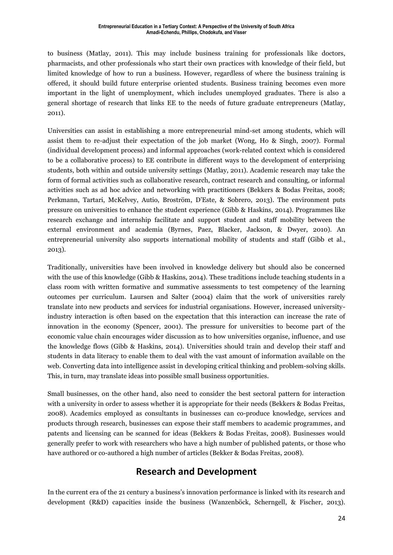to business (Matlay, 2011). This may include business training for professionals like doctors, pharmacists, and other professionals who start their own practices with knowledge of their field, but limited knowledge of how to run a business. However, regardless of where the business training is offered, it should build future enterprise oriented students. Business training becomes even more important in the light of unemployment, which includes unemployed graduates. There is also a general shortage of research that links EE to the needs of future graduate entrepreneurs (Matlay, 2011).

Universities can assist in establishing a more entrepreneurial mind-set among students, which will assist them to re-adjust their expectation of the job market (Wong, Ho & Singh, 2007). Formal (individual development process) and informal approaches (work-related context which is considered to be a collaborative process) to EE contribute in different ways to the development of enterprising students, both within and outside university settings (Matlay, 2011). Academic research may take the form of formal activities such as collaborative research, contract research and consulting, or informal activities such as ad hoc advice and networking with practitioners (Bekkers & Bodas Freitas, 2008; Perkmann, Tartari, McKelvey, Autio, Broström, D'Este, & Sobrero, 2013). The environment puts pressure on universities to enhance the student experience (Gibb & Haskins, 2014). Programmes like research exchange and internship facilitate and support student and staff mobility between the external environment and academia (Byrnes, Paez, Blacker, Jackson, & Dwyer, 2010). An entrepreneurial university also supports international mobility of students and staff (Gibb et al., 2013).

Traditionally, universities have been involved in knowledge delivery but should also be concerned with the use of this knowledge (Gibb & Haskins, 2014). These traditions include teaching students in a class room with written formative and summative assessments to test competency of the learning outcomes per curriculum. Laursen and Salter (2004) claim that the work of universities rarely translate into new products and services for industrial organisations. However, increased universityindustry interaction is often based on the expectation that this interaction can increase the rate of innovation in the economy (Spencer, 2001). The pressure for universities to become part of the economic value chain encourages wider discussion as to how universities organise, influence, and use the knowledge flows (Gibb & Haskins, 2014). Universities should train and develop their staff and students in data literacy to enable them to deal with the vast amount of information available on the web. Converting data into intelligence assist in developing critical thinking and problem-solving skills. This, in turn, may translate ideas into possible small business opportunities.

Small businesses, on the other hand, also need to consider the best sectoral pattern for interaction with a university in order to assess whether it is appropriate for their needs (Bekkers & Bodas Freitas, 2008). Academics employed as consultants in businesses can co-produce knowledge, services and products through research, businesses can expose their staff members to academic programmes, and patents and licensing can be scanned for ideas (Bekkers & Bodas Freitas, 2008). Businesses would generally prefer to work with researchers who have a high number of published patents, or those who have authored or co-authored a high number of articles (Bekker & Bodas Freitas, 2008).

# **Research and Development**

In the current era of the 21 century a business's innovation performance is linked with its research and development (R&D) capacities inside the business (Wanzenböck, Scherngell, & Fischer, 2013).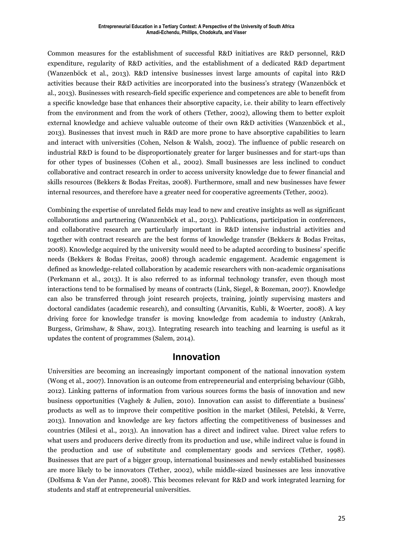Common measures for the establishment of successful R&D initiatives are R&D personnel, R&D expenditure, regularity of R&D activities, and the establishment of a dedicated R&D department (Wanzenböck et al., 2013). R&D intensive businesses invest large amounts of capital into R&D activities because their R&D activities are incorporated into the business's strategy (Wanzenböck et al., 2013). Businesses with research-field specific experience and competences are able to benefit from a specific knowledge base that enhances their absorptive capacity, i.e. their ability to learn effectively from the environment and from the work of others (Tether, 2002), allowing them to better exploit external knowledge and achieve valuable outcome of their own R&D activities (Wanzenböck et al., 2013). Businesses that invest much in R&D are more prone to have absorptive capabilities to learn and interact with universities (Cohen, Nelson & Walsh*,* 2002). The influence of public research on industrial R&D is found to be disproportionately greater for larger businesses and for start-ups than for other types of businesses (Cohen et al., 2002). Small businesses are less inclined to conduct collaborative and contract research in order to access university knowledge due to fewer financial and skills resources (Bekkers & Bodas Freitas, 2008). Furthermore, small and new businesses have fewer internal resources, and therefore have a greater need for cooperative agreements (Tether, 2002).

Combining the expertise of unrelated fields may lead to new and creative insights as well as significant collaborations and partnering (Wanzenböck et al., 2013). Publications, participation in conferences, and collaborative research are particularly important in R&D intensive industrial activities and together with contract research are the best forms of knowledge transfer (Bekkers & Bodas Freitas, 2008). Knowledge acquired by the university would need to be adapted according to business' specific needs (Bekkers & Bodas Freitas, 2008) through academic engagement. Academic engagement is defined as knowledge-related collaboration by academic researchers with non-academic organisations (Perkmann et al., 2013). It is also referred to as informal technology transfer, even though most interactions tend to be formalised by means of contracts (Link, Siegel, & Bozeman, 2007). Knowledge can also be transferred through joint research projects, training, jointly supervising masters and doctoral candidates (academic research), and consulting (Arvanitis, Kubli, & Woerter, 2008). A key driving force for knowledge transfer is moving knowledge from academia to industry (Ankrah, Burgess, Grimshaw, & Shaw, 2013). Integrating research into teaching and learning is useful as it updates the content of programmes (Salem, 2014).

#### **Innovation**

Universities are becoming an increasingly important component of the national innovation system (Wong et al., 2007). Innovation is an outcome from entrepreneurial and enterprising behaviour (Gibb, 2012). Linking patterns of information from various sources forms the basis of innovation and new business opportunities (Vaghely & Julien, 2010). Innovation can assist to differentiate a business' products as well as to improve their competitive position in the market (Milesi, Petelski, & Verre, 2013). Innovation and knowledge are key factors affecting the competitiveness of businesses and countries (Milesi et al., 2013). An innovation has a direct and indirect value. Direct value refers to what users and producers derive directly from its production and use, while indirect value is found in the production and use of substitute and complementary goods and services (Tether, 1998). Businesses that are part of a bigger group, international businesses and newly established businesses are more likely to be innovators (Tether, 2002), while middle-sized businesses are less innovative (Dolfsma & Van der Panne, 2008). This becomes relevant for R&D and work integrated learning for students and staff at entrepreneurial universities.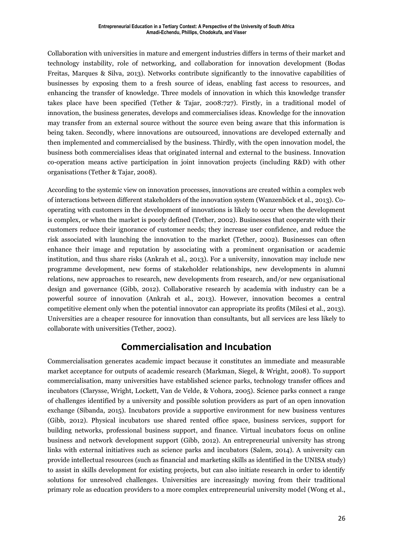Collaboration with universities in mature and emergent industries differs in terms of their market and technology instability, role of networking, and collaboration for innovation development (Bodas Freitas, Marques & Silva, 2013). Networks contribute significantly to the innovative capabilities of businesses by exposing them to a fresh source of ideas, enabling fast access to resources, and enhancing the transfer of knowledge. Three models of innovation in which this knowledge transfer takes place have been specified (Tether & Tajar, 2008:727). Firstly, in a traditional model of innovation, the business generates, develops and commercialises ideas. Knowledge for the innovation may transfer from an external source without the source even being aware that this information is being taken. Secondly, where innovations are outsourced, innovations are developed externally and then implemented and commercialised by the business. Thirdly, with the open innovation model, the business both commercialises ideas that originated internal and external to the business. Innovation co-operation means active participation in joint innovation projects (including R&D) with other organisations (Tether & Tajar, 2008).

According to the systemic view on innovation processes, innovations are created within a complex web of interactions between different stakeholders of the innovation system (Wanzenböck et al., 2013). Cooperating with customers in the development of innovations is likely to occur when the development is complex, or when the market is poorly defined (Tether, 2002). Businesses that cooperate with their customers reduce their ignorance of customer needs; they increase user confidence, and reduce the risk associated with launching the innovation to the market (Tether, 2002). Businesses can often enhance their image and reputation by associating with a prominent organisation or academic institution, and thus share risks (Ankrah et al., 2013). For a university, innovation may include new programme development, new forms of stakeholder relationships, new developments in alumni relations, new approaches to research, new developments from research, and/or new organisational design and governance (Gibb, 2012). Collaborative research by academia with industry can be a powerful source of innovation (Ankrah et al., 2013). However, innovation becomes a central competitive element only when the potential innovator can appropriate its profits (Milesi et al., 2013). Universities are a cheaper resource for innovation than consultants, but all services are less likely to collaborate with universities (Tether, 2002).

# **Commercialisation and Incubation**

Commercialisation generates academic impact because it constitutes an immediate and measurable market acceptance for outputs of academic research (Markman, Siegel, & Wright, 2008). To support commercialisation, many universities have established science parks, technology transfer offices and incubators (Clarysse, Wright, Lockett, Van de Velde, & Vohora, 2005). Science parks connect a range of challenges identified by a university and possible solution providers as part of an open innovation exchange (Sibanda, 2015). Incubators provide a supportive environment for new business ventures (Gibb, 2012). Physical incubators use shared rented office space, business services, support for building networks, professional business support, and finance. Virtual incubators focus on online business and network development support (Gibb, 2012). An entrepreneurial university has strong links with external initiatives such as science parks and incubators (Salem, 2014). A university can provide intellectual resources (such as financial and marketing skills as identified in the UNISA study) to assist in skills development for existing projects, but can also initiate research in order to identify solutions for unresolved challenges. Universities are increasingly moving from their traditional primary role as education providers to a more complex entrepreneurial university model (Wong et al.,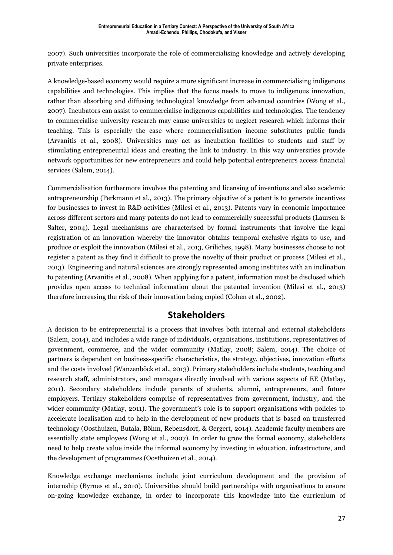2007). Such universities incorporate the role of commercialising knowledge and actively developing private enterprises.

A knowledge-based economy would require a more significant increase in commercialising indigenous capabilities and technologies. This implies that the focus needs to move to indigenous innovation, rather than absorbing and diffusing technological knowledge from advanced countries (Wong et al., 2007). Incubators can assist to commercialise indigenous capabilities and technologies. The tendency to commercialise university research may cause universities to neglect research which informs their teaching. This is especially the case where commercialisation income substitutes public funds (Arvanitis et al., 2008). Universities may act as incubation facilities to students and staff by stimulating entrepreneurial ideas and creating the link to industry. In this way universities provide network opportunities for new entrepreneurs and could help potential entrepreneurs access financial services (Salem, 2014).

Commercialisation furthermore involves the patenting and licensing of inventions and also academic entrepreneurship (Perkmann et al., 2013). The primary objective of a patent is to generate incentives for businesses to invest in R&D activities (Milesi et al., 2013). Patents vary in economic importance across different sectors and many patents do not lead to commercially successful products (Laursen & Salter, 2004). Legal mechanisms are characterised by formal instruments that involve the legal registration of an innovation whereby the innovator obtains temporal exclusive rights to use, and produce or exploit the innovation (Milesi et al., 2013, Griliches, 1998). Many businesses choose to not register a patent as they find it difficult to prove the novelty of their product or process (Milesi et al., 2013). Engineering and natural sciences are strongly represented among institutes with an inclination to patenting (Arvanitis et al., 2008). When applying for a patent, information must be disclosed which provides open access to technical information about the patented invention (Milesi et al., 2013) therefore increasing the risk of their innovation being copied (Cohen et al., 2002).

# **Stakeholders**

A decision to be entrepreneurial is a process that involves both internal and external stakeholders (Salem, 2014), and includes a wide range of individuals, organisations, institutions, representatives of government, commerce, and the wider community (Matlay, 2008; Salem, 2014). The choice of partners is dependent on business-specific characteristics, the strategy, objectives, innovation efforts and the costs involved (Wanzenböck et al., 2013). Primary stakeholders include students, teaching and research staff, administrators, and managers directly involved with various aspects of EE (Matlay, 2011). Secondary stakeholders include parents of students, alumni, entrepreneurs, and future employers. Tertiary stakeholders comprise of representatives from government, industry, and the wider community (Matlay, 2011). The government's role is to support organisations with policies to accelerate localisation and to help in the development of new products that is based on transferred technology (Oosthuizen, Butala, Böhm, Rebensdorf, & Gergert, 2014). Academic faculty members are essentially state employees (Wong et al., 2007). In order to grow the formal economy, stakeholders need to help create value inside the informal economy by investing in education, infrastructure, and the development of programmes (Oosthuizen et al., 2014).

Knowledge exchange mechanisms include joint curriculum development and the provision of internship (Byrnes et al., 2010). Universities should build partnerships with organisations to ensure on-going knowledge exchange, in order to incorporate this knowledge into the curriculum of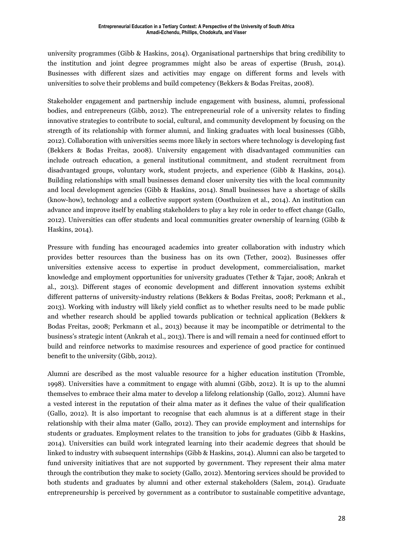university programmes (Gibb & Haskins, 2014). Organisational partnerships that bring credibility to the institution and joint degree programmes might also be areas of expertise (Brush, 2014). Businesses with different sizes and activities may engage on different forms and levels with universities to solve their problems and build competency (Bekkers & Bodas Freitas, 2008).

Stakeholder engagement and partnership include engagement with business, alumni, professional bodies, and entrepreneurs (Gibb, 2012). The entrepreneurial role of a university relates to finding innovative strategies to contribute to social, cultural, and community development by focusing on the strength of its relationship with former alumni, and linking graduates with local businesses (Gibb, 2012). Collaboration with universities seems more likely in sectors where technology is developing fast (Bekkers & Bodas Freitas, 2008). University engagement with disadvantaged communities can include outreach education, a general institutional commitment, and student recruitment from disadvantaged groups, voluntary work, student projects, and experience (Gibb & Haskins, 2014). Building relationships with small businesses demand closer university ties with the local community and local development agencies (Gibb & Haskins, 2014). Small businesses have a shortage of skills (know-how), technology and a collective support system (Oosthuizen et al., 2014). An institution can advance and improve itself by enabling stakeholders to play a key role in order to effect change (Gallo, 2012). Universities can offer students and local communities greater ownership of learning (Gibb & Haskins, 2014).

Pressure with funding has encouraged academics into greater collaboration with industry which provides better resources than the business has on its own (Tether, 2002). Businesses offer universities extensive access to expertise in product development, commercialisation, market knowledge and employment opportunities for university graduates (Tether & Tajar, 2008; Ankrah et al., 2013). Different stages of economic development and different innovation systems exhibit different patterns of university-industry relations (Bekkers & Bodas Freitas, 2008; Perkmann et al., 2013). Working with industry will likely yield conflict as to whether results need to be made public and whether research should be applied towards publication or technical application (Bekkers & Bodas Freitas, 2008; Perkmann et al., 2013) because it may be incompatible or detrimental to the business's strategic intent (Ankrah et al., 2013). There is and will remain a need for continued effort to build and reinforce networks to maximise resources and experience of good practice for continued benefit to the university (Gibb, 2012).

Alumni are described as the most valuable resource for a higher education institution (Tromble, 1998). Universities have a commitment to engage with alumni (Gibb, 2012). It is up to the alumni themselves to embrace their alma mater to develop a lifelong relationship (Gallo, 2012). Alumni have a vested interest in the reputation of their alma mater as it defines the value of their qualification (Gallo, 2012). It is also important to recognise that each alumnus is at a different stage in their relationship with their alma mater (Gallo, 2012). They can provide employment and internships for students or graduates. Employment relates to the transition to jobs for graduates (Gibb & Haskins, 2014). Universities can build work integrated learning into their academic degrees that should be linked to industry with subsequent internships (Gibb & Haskins, 2014). Alumni can also be targeted to fund university initiatives that are not supported by government. They represent their alma mater through the contribution they make to society (Gallo, 2012). Mentoring services should be provided to both students and graduates by alumni and other external stakeholders (Salem, 2014). Graduate entrepreneurship is perceived by government as a contributor to sustainable competitive advantage,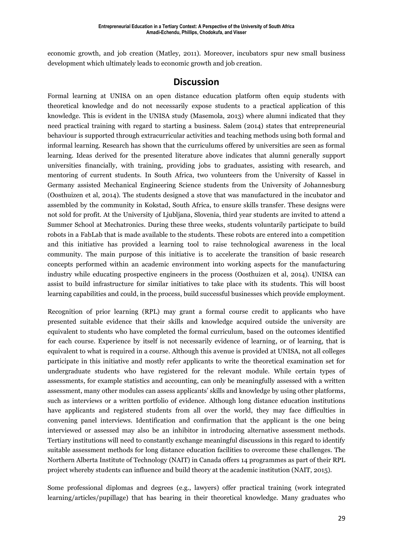economic growth, and job creation (Matley, 2011). Moreover, incubators spur new small business development which ultimately leads to economic growth and job creation.

#### **Discussion**

Formal learning at UNISA on an open distance education platform often equip students with theoretical knowledge and do not necessarily expose students to a practical application of this knowledge. This is evident in the UNISA study (Masemola, 2013) where alumni indicated that they need practical training with regard to starting a business. Salem (2014) states that entrepreneurial behaviour is supported through extracurricular activities and teaching methods using both formal and informal learning. Research has shown that the curriculums offered by universities are seen as formal learning. Ideas derived for the presented literature above indicates that alumni generally support universities financially, with training, providing jobs to graduates, assisting with research, and mentoring of current students. In South Africa, two volunteers from the University of Kassel in Germany assisted Mechanical Engineering Science students from the University of Johannesburg (Oosthuizen et al, 2014). The students designed a stove that was manufactured in the incubator and assembled by the community in Kokstad, South Africa, to ensure skills transfer. These designs were not sold for profit. At the University of Ljubljana, Slovenia, third year students are invited to attend a Summer School at Mechatronics. During these three weeks, students voluntarily participate to build robots in a FabLab that is made available to the students. These robots are entered into a competition and this initiative has provided a learning tool to raise technological awareness in the local community. The main purpose of this initiative is to accelerate the transition of basic research concepts performed within an academic environment into working aspects for the manufacturing industry while educating prospective engineers in the process (Oosthuizen et al, 2014). UNISA can assist to build infrastructure for similar initiatives to take place with its students. This will boost learning capabilities and could, in the process, build successful businesses which provide employment.

Recognition of prior learning (RPL) may grant a formal course credit to applicants who have presented suitable evidence that their skills and knowledge acquired outside the university are equivalent to students who have completed the formal curriculum, based on the outcomes identified for each course. Experience by itself is not necessarily evidence of learning, or of learning, that is equivalent to what is required in a course. Although this avenue is provided at UNISA, not all colleges participate in this initiative and mostly refer applicants to write the theoretical examination set for undergraduate students who have registered for the relevant module. While certain types of assessments, for example statistics and accounting, can only be meaningfully assessed with a written assessment, many other modules can assess applicants' skills and knowledge by using other platforms, such as interviews or a written portfolio of evidence. Although long distance education institutions have applicants and registered students from all over the world, they may face difficulties in convening panel interviews. Identification and confirmation that the applicant is the one being interviewed or assessed may also be an inhibitor in introducing alternative assessment methods. Tertiary institutions will need to constantly exchange meaningful discussions in this regard to identify suitable assessment methods for long distance education facilities to overcome these challenges. The Northern Alberta Institute of Technology (NAIT) in Canada offers 14 programmes as part of their RPL project whereby students can influence and build theory at the academic institution (NAIT, 2015).

Some professional diplomas and degrees (e.g., lawyers) offer practical training (work integrated learning/articles/pupillage) that has bearing in their theoretical knowledge. Many graduates who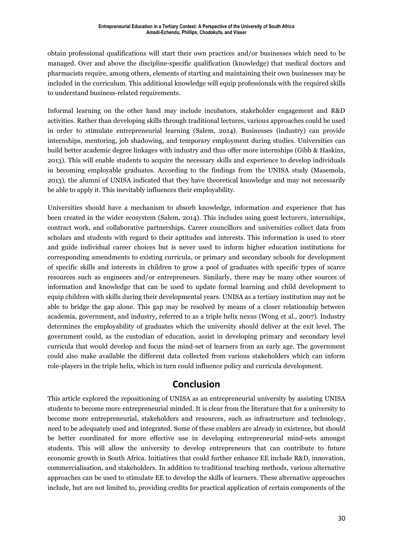obtain professional qualifications will start their own practices and/or businesses which need to be managed. Over and above the discipline-specific qualification (knowledge) that medical doctors and pharmacists require, among others, elements of starting and maintaining their own businesses may be included in the curriculum. This additional knowledge will equip professionals with the required skills to understand business-related requirements.

Informal learning on the other hand may include incubators, stakeholder engagement and R&D activities. Rather than developing skills through traditional lectures, various approaches could be used in order to stimulate entrepreneurial learning (Salem, 2014). Businesses (industry) can provide internships, mentoring, job shadowing, and temporary employment during studies. Universities can build better academic degree linkages with industry and thus offer more internships (Gibb & Haskins, 2013). This will enable students to acquire the necessary skills and experience to develop individuals in becoming employable graduates. According to the findings from the UNISA study (Masemola, 2013), the alumni of UNISA indicated that they have theoretical knowledge and may not necessarily be able to apply it. This inevitably influences their employability.

Universities should have a mechanism to absorb knowledge, information and experience that has been created in the wider ecosystem (Salem, 2014). This includes using guest lecturers, internships, contract work, and collaborative partnerships. Career councillors and universities collect data from scholars and students with regard to their aptitudes and interests. This information is used to steer and guide individual career choices but is never used to inform higher education institutions for corresponding amendments to existing curricula, or primary and secondary schools for development of specific skills and interests in children to grow a pool of graduates with specific types of scarce resources such as engineers and/or entrepreneurs. Similarly, there may be many other sources of information and knowledge that can be used to update formal learning and child development to equip children with skills during their developmental years. UNISA as a tertiary institution may not be able to bridge the gap alone. This gap may be resolved by means of a closer relationship between academia, government, and industry, referred to as a triple helix nexus (Wong et al., 2007). Industry determines the employability of graduates which the university should deliver at the exit level. The government could, as the custodian of education, assist in developing primary and secondary level curricula that would develop and focus the mind-set of learners from an early age. The government could also make available the different data collected from various stakeholders which can inform role-players in the triple helix, which in turn could influence policy and curricula development.

# **Conclusion**

This article explored the repositioning of UNISA as an entrepreneurial university by assisting UNISA students to become more entrepreneurial minded. It is clear from the literature that for a university to become more entrepreneurial, stakeholders and resources, such as infrastructure and technology, need to be adequately used and integrated. Some of these enablers are already in existence, but should be better coordinated for more effective use in developing entrepreneurial mind-sets amongst students. This will allow the university to develop entrepreneurs that can contribute to future economic growth in South Africa. Initiatives that could further enhance EE include R&D, innovation, commercialisation, and stakeholders. In addition to traditional teaching methods, various alternative approaches can be used to stimulate EE to develop the skills of learners. These alternative approaches include, but are not limited to, providing credits for practical application of certain components of the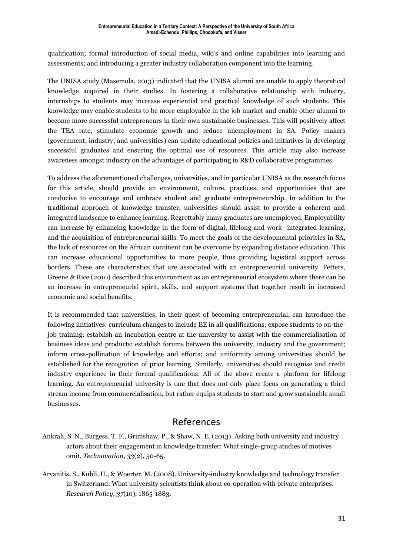qualification; formal introduction of social media, wiki's and online capabilities into learning and assessments; and introducing a greater industry collaboration component into the learning.

The UNISA study (Masemola, 2013) indicated that the UNISA alumni are unable to apply theoretical knowledge acquired in their studies. In fostering a collaborative relationship with industry, internships to students may increase experiential and practical knowledge of such students. This knowledge may enable students to be more employable in the job market and enable other alumni to become more successful entrepreneurs in their own sustainable businesses. This will positively affect the TEA rate, stimulate economic growth and reduce unemployment in SA. Policy makers (government, industry, and universities) can update educational policies and initiatives in developing successful graduates and ensuring the optimal use of resources. This article may also increase awareness amongst industry on the advantages of participating in R&D collaborative programmes.

To address the aforementioned challenges, universities, and in particular UNISA as the research focus for this article, should provide an environment, culture, practices, and opportunities that are conducive to encourage and embrace student and graduate entrepreneurship. In addition to the traditional approach of knowledge transfer, universities should assist to provide a coherent and integrated landscape to enhance learning. Regrettably many graduates are unemployed. Employability can increase by enhancing knowledge in the form of digital, lifelong and work--integrated learning, and the acquisition of entrepreneurial skills. To meet the goals of the developmental priorities in SA, the lack of resources on the African continent can be overcome by expanding distance education. This can increase educational opportunities to more people, thus providing logistical support across borders. These are characteristics that are associated with an entrepreneurial university. Fetters, Greene & Rice (2010) described this environment as an entrepreneurial ecosystem where there can be an increase in entrepreneurial spirit, skills, and support systems that together result in increased economic and social benefits.

It is recommended that universities, in their quest of becoming entrepreneurial, can introduce the following initiatives: curriculum changes to include EE in all qualifications; expose students to on-thejob training; establish an incubation centre at the university to assist with the commercialisation of business ideas and products; establish forums between the university, industry and the government; inform cross-pollination of knowledge and efforts; and uniformity among universities should be established for the recognition of prior learning. Similarly, universities should recognise and credit industry experience in their formal qualifications. All of the above create a platform for lifelong learning. An entrepreneurial university is one that does not only place focus on generating a third stream income from commercialisation, but rather equips students to start and grow sustainable small businesses.

# References

- Ankrah, S. N., Burgess. T. F., Grimshaw, P., & Shaw, N. E. (2013). Asking both university and industry actors about their engagement in knowledge transfer: What single-group studies of motives omit. *Technovation, 33*(2), 50-65.
- Arvanitis, S., Kubli, U., & Woerter, M. (2008). University-industry knowledge and technology transfer in Switzerland: What university scientists think about co-operation with private enterprises. *Research Policy, 37*(10), 1865-1883.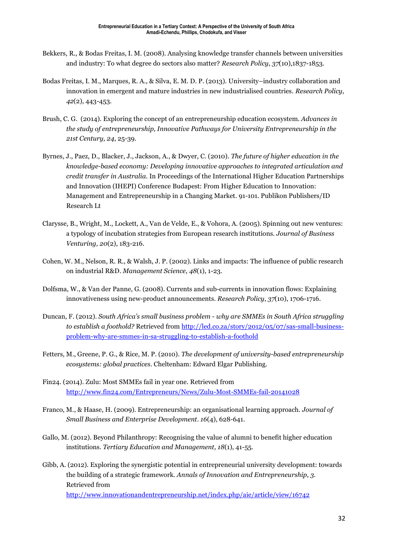- Bekkers, R., & Bodas Freitas, I. M. (2008). Analysing knowledge transfer channels between universities and industry: To what degree do sectors also matter? *Research Policy*, *37*(10),1837-1853.
- Bodas Freitas, I. M., Marques, R. A., & Silva, E. M. D. P. (2013). University–industry collaboration and innovation in emergent and mature industries in new industrialised countries. *Research Policy*, *42*(2), 443-453.
- Brush, C. G. (2014). Exploring the concept of an entrepreneurship education ecosystem. *Advances in the study of entrepreneurship, Innovative Pathways for University Entrepreneurship in the 21st Century, 24*, 25-39.
- Byrnes, J., Paez, D., Blacker, J., Jackson, A., & Dwyer, C. (2010). *The future of higher education in the knowledge-based economy: Developing innovative approaches to integrated articulation and credit transfer in Australia.* In Proceedings of the International Higher Education Partnerships and Innovation (IHEPI) Conference Budapest: From Higher Education to Innovation: Management and Entrepreneurship in a Changing Market. 91-101. Publikon Publishers/ID Research Lt
- Clarysse, B., Wright, M., Lockett, A., Van de Velde, E., & Vohora, A. (2005). Spinning out new ventures: a typology of incubation strategies from European research institutions. *Journal of Business Venturing, 20*(2), 183-216.
- Cohen, W. M., Nelson, R. R., & Walsh, J. P. (2002). Links and impacts: The influence of public research on industrial R&D. *Management Science*, *48*(1), 1-23.
- Dolfsma, W., & Van der Panne, G. (2008). Currents and sub-currents in innovation flows: Explaining innovativeness using new-product announcements. *Research Policy*, *37*(10), 1706-1716.
- Duncan, F. (2012). *South Africa's small business problem - why are SMMEs in South Africa struggling to establish a foothold?* Retrieved from [http://led.co.za/story/2012/05/07/sas-small-business](http://led.co.za/story/2012/05/07/sas-small-business-problem-why-are-smmes-in-sa-struggling-to-establish-a-foothold)[problem-why-are-smmes-in-sa-struggling-to-establish-a-foothold](http://led.co.za/story/2012/05/07/sas-small-business-problem-why-are-smmes-in-sa-struggling-to-establish-a-foothold)
- Fetters, M., Greene, P. G., & Rice, M. P. (2010). *The development of university-based entrepreneurship ecosystems: global practices*. Cheltenham: Edward Elgar Publishing.
- Fin24. (2014). Zulu: Most SMMEs fail in year one. Retrieved from <http://www.fin24.com/Entrepreneurs/News/Zulu-Most-SMMEs-fail-20141028>
- Franco, M., & Haase, H. (2009). Entrepreneurship: an organisational learning approach. *Journal of Small Business and Enterprise Development*. *16*(4), 628-641.
- Gallo, M. (2012). Beyond Philanthropy: Recognising the value of alumni to benefit higher education institutions. *Tertiary Education and Management, 18*(1), 41-55.
- Gibb, A. (2012). Exploring the synergistic potential in entrepreneurial university development: towards the building of a strategic framework. *Annals of Innovation and Entrepreneurship, 3.* Retrieved from <http://www.innovationandentrepreneurship.net/index.php/aie/article/view/16742>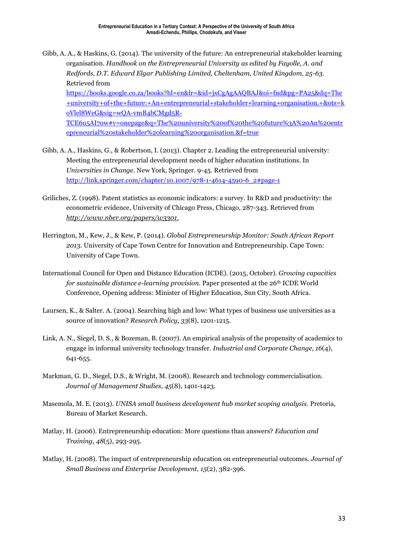- Gibb, A. A., & Haskins, G. (2014). The university of the future: An entrepreneurial stakeholder learning organisation. *Handbook on the Entrepreneurial University as edited by Fayolle, A. and Redfords, D.T. Edward Elgar Publishing Limited, Cheltenham, United Kingdom, 25-63.* Retrieved from [https://books.google.co.za/books?hl=en&lr=&id=jxCgAgAAQBAJ&oi=fnd&pg=PA25&dq=The](https://books.google.co.za/books?hl=en&lr=&id=jxCgAgAAQBAJ&oi=fnd&pg=PA25&dq=The+university+of+the+future:+An+entrepreneurial+stakeholder+learning+organisation.+&ots=koVlel8WeG&sig=wQA-vmB4bCMgd5R-TCE6u5AI7ow#v=onepage&q=The%20university%20of%20the%20future%3A%20An%20entrepreneurial%20stakeholder%20learning%20organisation.&f=true) [+university+of+the+future:+An+entrepreneurial+stakeholder+learning+organisation.+&ots=k](https://books.google.co.za/books?hl=en&lr=&id=jxCgAgAAQBAJ&oi=fnd&pg=PA25&dq=The+university+of+the+future:+An+entrepreneurial+stakeholder+learning+organisation.+&ots=koVlel8WeG&sig=wQA-vmB4bCMgd5R-TCE6u5AI7ow#v=onepage&q=The%20university%20of%20the%20future%3A%20An%20entrepreneurial%20stakeholder%20learning%20organisation.&f=true) [oVlel8WeG&sig=wQA-vmB4bCMgd5R-](https://books.google.co.za/books?hl=en&lr=&id=jxCgAgAAQBAJ&oi=fnd&pg=PA25&dq=The+university+of+the+future:+An+entrepreneurial+stakeholder+learning+organisation.+&ots=koVlel8WeG&sig=wQA-vmB4bCMgd5R-TCE6u5AI7ow#v=onepage&q=The%20university%20of%20the%20future%3A%20An%20entrepreneurial%20stakeholder%20learning%20organisation.&f=true)[TCE6u5AI7ow#v=onepage&q=The%20university%20of%20the%20future%3A%20An%20entr](https://books.google.co.za/books?hl=en&lr=&id=jxCgAgAAQBAJ&oi=fnd&pg=PA25&dq=The+university+of+the+future:+An+entrepreneurial+stakeholder+learning+organisation.+&ots=koVlel8WeG&sig=wQA-vmB4bCMgd5R-TCE6u5AI7ow#v=onepage&q=The%20university%20of%20the%20future%3A%20An%20entrepreneurial%20stakeholder%20learning%20organisation.&f=true) [epreneurial%20stakeholder%20learning%20organisation.&f=true](https://books.google.co.za/books?hl=en&lr=&id=jxCgAgAAQBAJ&oi=fnd&pg=PA25&dq=The+university+of+the+future:+An+entrepreneurial+stakeholder+learning+organisation.+&ots=koVlel8WeG&sig=wQA-vmB4bCMgd5R-TCE6u5AI7ow#v=onepage&q=The%20university%20of%20the%20future%3A%20An%20entrepreneurial%20stakeholder%20learning%20organisation.&f=true)
- Gibb, A. A., Haskins, G., & Robertson, I. (2013). Chapter 2. Leading the entrepreneurial university: Meeting the entrepreneurial development needs of higher education institutions. In *Universities in Change*. New York, Springer. 9-45. Retrieved from [http://link.springer.com/chapter/10.1007/978-1-4614-4590-6\\_2#page-1](http://link.springer.com/chapter/10.1007/978-1-4614-4590-6_2#page-1)
- Griliches, Z. (1998). Patent statistics as economic indicators: a survey. In R&D and productivity: the econometric evidence, University of Chicago Press, Chicago, 287-343. Retrieved from *http://www.nber.org/papers/w3301.*
- Herrington, M., Kew, J., & Kew, P. (2014). *Global Entrepreneurship Monitor: South African Report 2013.* University of Cape Town Centre for Innovation and Entrepreneurship. Cape Town: University of Cape Town.
- International Council for Open and Distance Education (ICDE). (2015, October). *Growing capacities for sustainable distance e-learning provision.* Paper presented at the 26th ICDE World Conference, Opening address: Minister of Higher Education, Sun City, South Africa.
- Laursen, K., & Salter. A. (2004). Searching high and low: What types of business use universities as a source of innovation? *Research Policy*, *33*(8), 1201-1215.
- Link, A. N., Siegel, D. S., & Bozeman, B. (2007). An empirical analysis of the propensity of academics to engage in informal university technology transfer. *Industrial and Corporate Change, 16*(4), 641-655.
- Markman, G. D., Siegel, D.S., & Wright, M. (2008). Research and technology commercialisation. *Journal of Management Studies*, *45*(8), 1401-1423.
- Masemola, M. E. (2013). *UNISA small business development hub market scoping analysis*. Pretoria, Bureau of Market Research.
- Matlay, H. (2006). Entrepreneurship education: More questions than answers? *Education and Training*, *48*(5), 293-295.
- Matlay, H. (2008). The impact of entrepreneurship education on entrepreneurial outcomes. *Journal of Small Business and Enterprise Development, 15*(2), 382-396.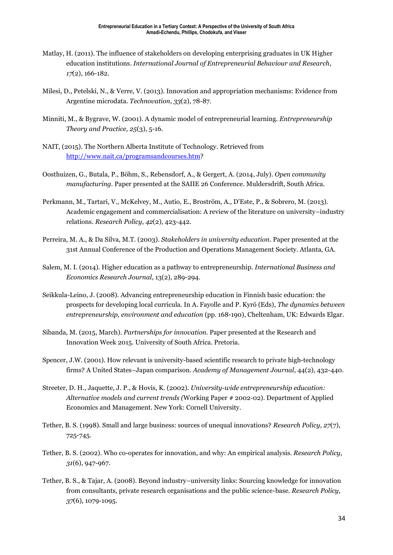- Matlay, H. (2011). The influence of stakeholders on developing enterprising graduates in UK Higher education institutions. *International Journal of Entrepreneurial Behaviour and Research*, *17*(2), 166-182.
- Milesi, D., Petelski, N., & Verre, V. (2013). Innovation and appropriation mechanisms: Evidence from Argentine microdata. *Technovation*, *33*(2), 78-87.
- Minniti, M., & Bygrave, W. (2001). A dynamic model of entrepreneurial learning. *Entrepreneurship Theory and Practice, 25*(3), 5-16.
- NAIT, (2015). The Northern Alberta Institute of Technology. Retrieved from [http://www.nait.ca/programsandcourses.htm?](http://www.nait.ca/programsandcourses.htm)
- Oosthuizen, G., Butala, P., Böhm, S., Rebensdorf, A., & Gergert, A. (2014, July). *Open community manufacturing.* Paper presented at the SAIIE 26 Conference. Muldersdrift, South Africa.
- Perkmann, M., Tartari, V., McKelvey, M., Autio, E., Broström, A., D'Este, P., & Sobrero, M. (2013). Academic engagement and commercialisation: A review of the literature on university–industry relations. *Research Policy*, *42*(2), 423-442.
- Perreira, M. A., & Da Silva, M.T. (2003). *Stakeholders in university education*. Paper presented at the 31st Annual Conference of the Production and Operations Management Society. Atlanta, GA.
- Salem, M. I. (2014). Higher education as a pathway to entrepreneurship. *International Business and Economics Research Journal*, 13(2), 289-294.
- Seikkula-Leino, J. (2008). Advancing entrepreneurship education in Finnish basic education: the prospects for developing local curricula. In A. Fayolle and P. Kyrö (Eds), *The dynamics between entrepreneurship, environment and education* (pp. 168-190), Cheltenham, UK: Edwards Elgar.
- Sibanda, M. (2015, March). *Partnerships for innovation.* Paper presented at the Research and Innovation Week 2015. University of South Africa. Pretoria.
- Spencer, J.W. (2001). How relevant is university-based scientific research to private high-technology firms? A United States–Japan comparison. *Academy of Management Journal*, 44(2), 432-440.
- Streeter, D. H., Jaquette, J. P., & Hovis, K. (2002). *University-wide entrepreneurship education: Alternative models and current trends (*Working Paper # 2002-02). Department of Applied Economics and Management. New York: Cornell University.
- Tether, B. S. (1998). Small and large business: sources of unequal innovations? *Research Policy, 27*(7), 725-745.
- Tether, B. S. (2002). Who co-operates for innovation, and why: An empirical analysis. *Research Policy, 31*(6), 947-967.
- Tether, B. S., & Tajar, A. (2008). Beyond industry–university links: Sourcing knowledge for innovation from consultants, private research organisations and the public science-base. *Research Policy, 37*(6), 1079-1095.